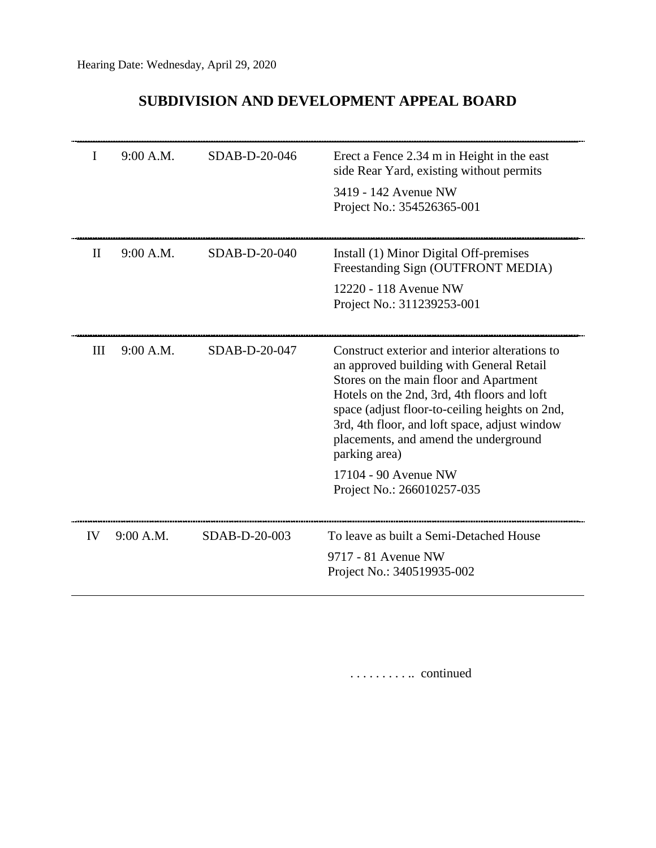## **SUBDIVISION AND DEVELOPMENT APPEAL BOARD**

| I        | 9:00 A.M. | SDAB-D-20-046   | Erect a Fence 2.34 m in Height in the east<br>side Rear Yard, existing without permits<br>3419 - 142 Avenue NW<br>Project No.: 354526365-001                                                                                                                                                                                                     |
|----------|-----------|-----------------|--------------------------------------------------------------------------------------------------------------------------------------------------------------------------------------------------------------------------------------------------------------------------------------------------------------------------------------------------|
| $\rm II$ | 9:00 A.M. | $SDAB-D-20-040$ | Install (1) Minor Digital Off-premises<br>Freestanding Sign (OUTFRONT MEDIA)<br>12220 - 118 Avenue NW<br>Project No.: 311239253-001                                                                                                                                                                                                              |
| Ш        | 9:00 A.M. | $SDAB-D-20-047$ | Construct exterior and interior alterations to<br>an approved building with General Retail<br>Stores on the main floor and Apartment<br>Hotels on the 2nd, 3rd, 4th floors and loft<br>space (adjust floor-to-ceiling heights on 2nd,<br>3rd, 4th floor, and loft space, adjust window<br>placements, and amend the underground<br>parking area) |
|          |           |                 | 17104 - 90 Avenue NW<br>Project No.: 266010257-035                                                                                                                                                                                                                                                                                               |
| IV       | 9:00 A.M. | SDAB-D-20-003   | To leave as built a Semi-Detached House<br>9717 - 81 Avenue NW<br>Project No.: 340519935-002                                                                                                                                                                                                                                                     |

. . . . . . . . . .. continued